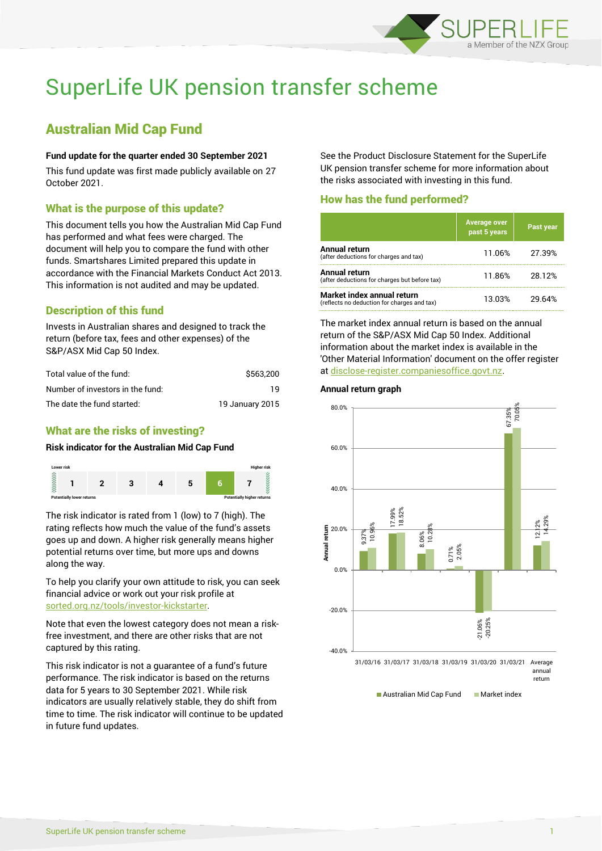

# SuperLife UK pension transfer scheme

# Australian Mid Cap Fund

#### **Fund update for the quarter ended 30 September 2021**

This fund update was first made publicly available on 27 October 2021.

### What is the purpose of this update?

This document tells you how the Australian Mid Cap Fund has performed and what fees were charged. The document will help you to compare the fund with other funds. Smartshares Limited prepared this update in accordance with the Financial Markets Conduct Act 2013. This information is not audited and may be updated.

# Description of this fund

Invests in Australian shares and designed to track the return (before tax, fees and other expenses) of the S&P/ASX Mid Cap 50 Index.

| Total value of the fund:         | \$563,200       |
|----------------------------------|-----------------|
| Number of investors in the fund: | 1 Q             |
| The date the fund started:       | 19 January 2015 |

# What are the risks of investing?

#### **Risk indicator for the Australian Mid Cap Fund**



The risk indicator is rated from 1 (low) to 7 (high). The rating reflects how much the value of the fund's assets goes up and down. A higher risk generally means higher potential returns over time, but more ups and downs along the way.

To help you clarify your own attitude to risk, you can seek financial advice or work out your risk profile at [sorted.org.nz/tools/investor-kickstarter.](http://www.sorted.org.nz/tools/investor-kickstarter)

Note that even the lowest category does not mean a riskfree investment, and there are other risks that are not captured by this rating.

This risk indicator is not a guarantee of a fund's future performance. The risk indicator is based on the returns data for 5 years to 30 September 2021. While risk indicators are usually relatively stable, they do shift from time to time. The risk indicator will continue to be updated in future fund updates.

See the Product Disclosure Statement for the SuperLife UK pension transfer scheme for more information about the risks associated with investing in this fund.

## How has the fund performed?

|                                                                           | <b>Average over</b><br>past 5 years | Past year |
|---------------------------------------------------------------------------|-------------------------------------|-----------|
| Annual return<br>(after deductions for charges and tax)                   | 11.06%                              | 27.39%    |
| Annual return<br>(after deductions for charges but before tax)            | 11.86%                              | 28.12%    |
| Market index annual return<br>(reflects no deduction for charges and tax) | 13.03%                              | 29 64%    |

The market index annual return is based on the annual return of the S&P/ASX Mid Cap 50 Index. Additional information about the market index is available in the 'Other Material Information' document on the offer register at [disclose-register.companiesoffice.govt.nz.](http://www.disclose-register.companiesoffice.govt.nz/)

#### **Annual return graph**



**Australian Mid Cap Fund Market index**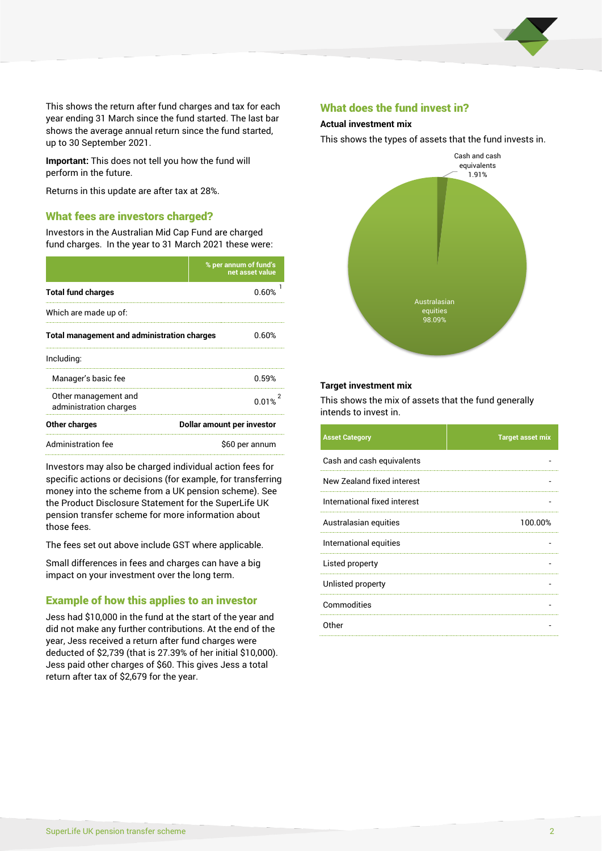

This shows the return after fund charges and tax for each year ending 31 March since the fund started. The last bar shows the average annual return since the fund started, up to 30 September 2021.

**Important:** This does not tell you how the fund will perform in the future.

Returns in this update are after tax at 28%.

#### What fees are investors charged?

Investors in the Australian Mid Cap Fund are charged fund charges. In the year to 31 March 2021 these were:

|                                                    | % per annum of fund's<br>net asset value |  |
|----------------------------------------------------|------------------------------------------|--|
| <b>Total fund charges</b>                          | <u>በ 60%</u>                             |  |
| Which are made up of:                              |                                          |  |
| <b>Total management and administration charges</b> | 0.60%                                    |  |
| Including:                                         |                                          |  |
| Manager's basic fee                                | በ 59%                                    |  |
| Other management and<br>administration charges     | 0.01%                                    |  |
| Other charges                                      | Dollar amount per investor               |  |
| Administration fee                                 | \$60 per annum                           |  |

Investors may also be charged individual action fees for specific actions or decisions (for example, for transferring money into the scheme from a UK pension scheme). See the Product Disclosure Statement for the SuperLife UK pension transfer scheme for more information about those fees.

The fees set out above include GST where applicable.

Small differences in fees and charges can have a big impact on your investment over the long term.

### Example of how this applies to an investor

Jess had \$10,000 in the fund at the start of the year and did not make any further contributions. At the end of the year, Jess received a return after fund charges were deducted of \$2,739 (that is 27.39% of her initial \$10,000). Jess paid other charges of \$60. This gives Jess a total return after tax of \$2,679 for the year.

#### What does the fund invest in?

#### **Actual investment mix**

This shows the types of assets that the fund invests in.



#### **Target investment mix**

This shows the mix of assets that the fund generally intends to invest in.

| <b>Asset Category</b>        | <b>Target asset mix</b> |
|------------------------------|-------------------------|
| Cash and cash equivalents    |                         |
| New Zealand fixed interest   |                         |
| International fixed interest |                         |
| Australasian equities        | 100.00%                 |
| International equities       |                         |
| Listed property              |                         |
| Unlisted property            |                         |
| Commodities                  |                         |
| Other                        |                         |